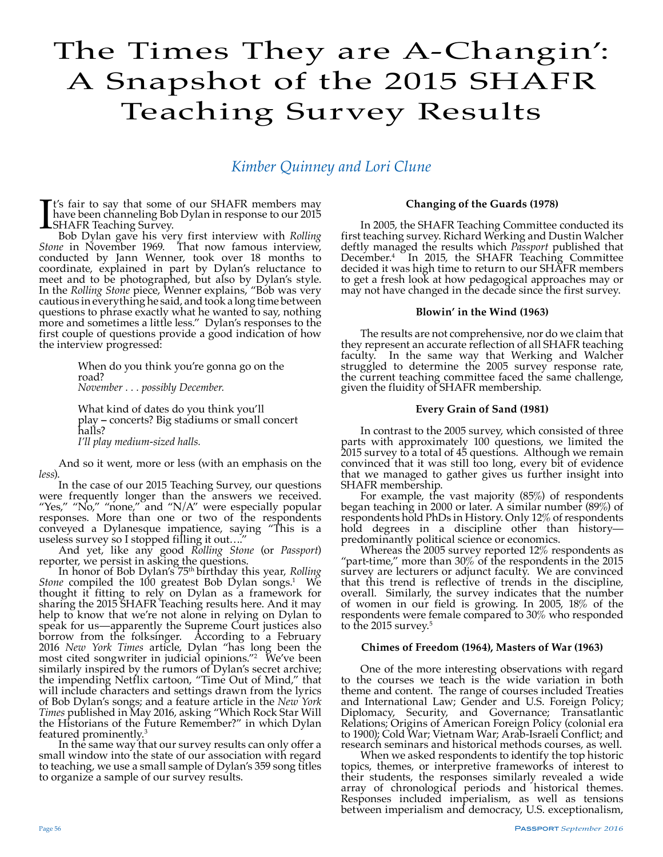# The Times They are A-Changin': A Snapshot of the 2015 SHAFR Teaching Survey Results

## *Kimber Quinney and Lori Clune*

It's fair to say that some of our SHAFR members may<br>have been channeling Bob Dylan in response to our 2015<br>Bob Dylan gave his very first interview with *Rolling* t's fair to say that some of our SHAFR members may have been channeling Bob Dylan in response to our 2015 **L**SHAFR Teaching Survey.

*Stone* in November 1969. That now famous interview, conducted by Jann Wenner, took over 18 months to coordinate, explained in part by Dylan's reluctance to meet and to be photographed, but also by Dylan's style. In the *Rolling Stone* piece, Wenner explains, "Bob was very cautious in everything he said, and took a long time between questions to phrase exactly what he wanted to say, nothing more and sometimes a little less." Dylan's responses to the first couple of questions provide a good indication of how the interview progressed:

> When do you think you're gonna go on the road? *November . . . possibly December.*

What kind of dates do you think you'll play **–** concerts? Big stadiums or small concert halls? *I'll play medium-sized halls.*

And so it went, more or less (with an emphasis on the *less*).

In the case of our 2015 Teaching Survey, our questions were frequently longer than the answers we received. "Yes," "No," "none," and "N/A" were especially popular responses. More than one or two of the respondents conveyed a Dylanesque impatience, saying "This is a useless survey so I stopped filling it out…."

And yet, like any good *Rolling Stone* (or *Passport*) reporter, we persist in asking the questions.

In honor of Bob Dylan's 75th birthday this year, *Rolling*  Stone compiled the 100 greatest Bob Dylan songs.<sup>1</sup> We thought it fitting to rely on Dylan as a framework for sharing the 2015 SHAFR Teaching results here. And it may help to know that we're not alone in relying on Dylan to speak for us—apparently the Supreme Court justices also borrow from the folksinger. According to a February 2016 *New York Times* article, Dylan "has long been the most cited songwriter in judicial opinions."2 We've been similarly inspired by the rumors of Dylan's secret archive; the impending Netflix cartoon, "Time Out of Mind," that will include characters and settings drawn from the lyrics of Bob Dylan's songs; and a feature article in the *New York Times* published in May 2016, asking "Which Rock Star Will the Historians of the Future Remember?" in which Dylan featured prominently.3

In the same way that our survey results can only offer a small window into the state of our association with regard to teaching, we use a small sample of Dylan's 359 song titles to organize a sample of our survey results.

#### **Changing of the Guards (1978)**

In 2005, the SHAFR Teaching Committee conducted its first teaching survey. Richard Werking and Dustin Walcher deftly managed the results which *Passport* published that December.4 In 2015, the SHAFR Teaching Committee decided it was high time to return to our SHAFR members to get a fresh look at how pedagogical approaches may or may not have changed in the decade since the first survey.

#### **Blowin' in the Wind (1963)**

The results are not comprehensive, nor do we claim that they represent an accurate reflection of all SHAFR teaching faculty. In the same way that Werking and Walcher struggled to determine the 2005 survey response rate, the current teaching committee faced the same challenge, given the fluidity of SHAFR membership.

### **Every Grain of Sand (1981)**

In contrast to the 2005 survey, which consisted of three parts with approximately 100 questions, we limited the 2015 survey to a total of 45 questions. Although we remain convinced that it was still too long, every bit of evidence that we managed to gather gives us further insight into SHAFR membership.

For example, the vast majority (85%) of respondents began teaching in 2000 or later. A similar number (89%) of respondents hold PhDs in History. Only 12% of respondents hold degrees in a discipline other than history predominantly political science or economics.

Whereas the 2005 survey reported 12% respondents as "part-time," more than  $30\%$  of the respondents in the 2015 survey are lecturers or adjunct faculty. We are convinced that this trend is reflective of trends in the discipline, overall. Similarly, the survey indicates that the number of women in our field is growing. In 2005, 18% of the respondents were female compared to 30% who responded to the 2015 survey.<sup>5</sup>

#### **Chimes of Freedom (1964), Masters of War (1963)**

One of the more interesting observations with regard to the courses we teach is the wide variation in both theme and content. The range of courses included Treaties and International Law; Gender and U.S. Foreign Policy; Diplomacy, Security, and Governance; Transatlantic Relations; Origins of American Foreign Policy (colonial era to 1900); Cold War; Vietnam War; Arab-Israeli Conflict; and research seminars and historical methods courses, as well.

When we asked respondents to identify the top historic topics, themes, or interpretive frameworks of interest to their students, the responses similarly revealed a wide array of chronological periods and historical themes. Responses included imperialism, as well as tensions between imperialism and democracy, U.S. exceptionalism,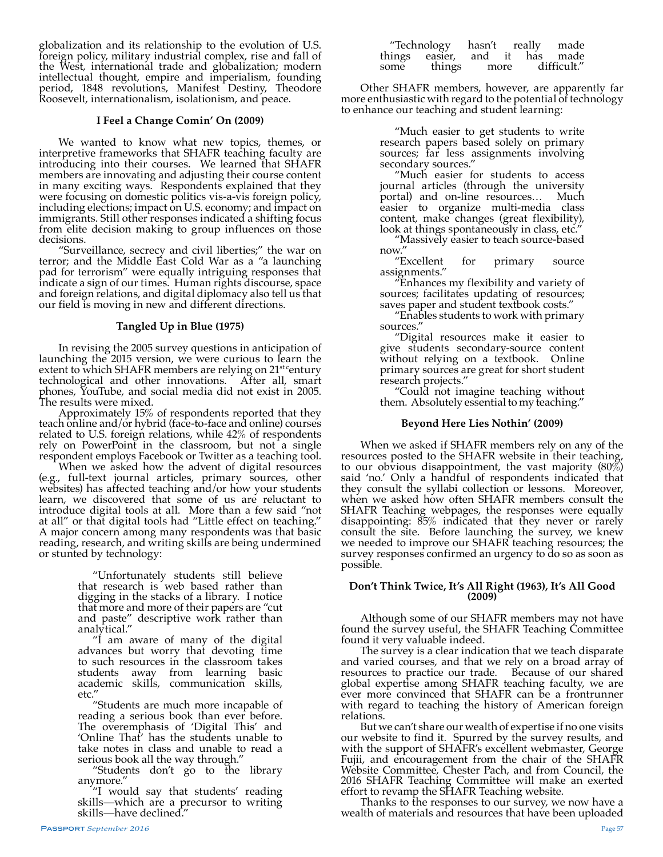globalization and its relationship to the evolution of U.S. foreign policy, military industrial complex, rise and fall of the West, international trade and globalization; modern intellectual thought, empire and imperialism, founding period, 1848 revolutions, Manifest Destiny, Theodore Roosevelt, internationalism, isolationism, and peace.

#### **I Feel a Change Comin' On (2009)**

We wanted to know what new topics, themes, or interpretive frameworks that SHAFR teaching faculty are introducing into their courses. We learned that SHAFR members are innovating and adjusting their course content in many exciting ways. Respondents explained that they were focusing on domestic politics vis-a-vis foreign policy, including elections; impact on U.S. economy; and impact on immigrants. Still other responses indicated a shifting focus from elite decision making to group influences on those decisions.

"Surveillance, secrecy and civil liberties;" the war on terror; and the Middle East Cold War as a "a launching pad for terrorism" were equally intriguing responses that indicate a sign of our times. Human rights discourse, space and foreign relations, and digital diplomacy also tell us that our field is moving in new and different directions.

#### **Tangled Up in Blue (1975)**

In revising the 2005 survey questions in anticipation of launching the 2015 version, we were curious to learn the extent to which SHAFR members are relying on 21<sup>st c</sup>entury technological and other innovations. After all, smart phones, YouTube, and social media did not exist in 2005. The results were mixed.

Approximately 15% of respondents reported that they teach online and/or hybrid (face-to-face and online) courses related to U.S. foreign relations, while 42% of respondents rely on PowerPoint in the classroom, but not a single respondent employs Facebook or Twitter as a teaching tool.

When we asked how the advent of digital resources (e.g., full-text journal articles, primary sources, other websites) has affected teaching and/or how your students learn, we discovered that some of us are reluctant to introduce digital tools at all. More than a few said "not at all" or that digital tools had "Little effect on teaching." A major concern among many respondents was that basic reading, research, and writing skills are being undermined or stunted by technology:

> "Unfortunately students still believe that research is web based rather than digging in the stacks of a library. I notice that more and more of their papers are "cut and paste" descriptive work rather than analytical."

> "I am aware of many of the digital advances but worry that devoting time to such resources in the classroom takes students away from learning basic academic skills, communication skills, etc."

> "Students are much more incapable of reading a serious book than ever before. The overemphasis of 'Digital This' and 'Online That' has the students unable to take notes in class and unable to read a serious book all the way through."

"Students don't go to the library anymore."

"I would say that students' reading skills—which are a precursor to writing skills—have declined."

| "Technology    |        | hasn't | really |             | made     |
|----------------|--------|--------|--------|-------------|----------|
| things easier, |        | and    | it     |             | has made |
| some           | things | more   |        | difficult." |          |

Other SHAFR members, however, are apparently far more enthusiastic with regard to the potential of technology to enhance our teaching and student learning:

> "Much easier to get students to write research papers based solely on primary sources; far less assignments involving secondary sources."

> "Much easier for students to access journal articles (through the university portal) and on-line resources… Much easier to organize multi-media class content, make changes (great flexibility), look at things spontaneously in class, etc."

> "Massively easier to teach source-based now."<br>"Excellent

> "Excellent for primary source assignments."

> "Enhances my flexibility and variety of sources; facilitates updating of resources; saves paper and student textbook costs."

> "Enables students to work with primary sources."

> "Digital resources make it easier to give students secondary-source content without relying on a textbook. Online primary sources are great for short student research projects."

> "Could not imagine teaching without them. Absolutely essential to my teaching."

#### **Beyond Here Lies Nothin' (2009)**

When we asked if SHAFR members rely on any of the resources posted to the SHAFR website in their teaching, to our obvious disappointment, the vast majority  $(80\%)$ said 'no.' Only a handful of respondents indicated that they consult the syllabi collection or lessons. Moreover, when we asked how often SHAFR members consult the SHAFR Teaching webpages, the responses were equally disappointing:  $85\%$  indicated that they never or rarely consult the site. Before launching the survey, we knew we needed to improve our SHAFR teaching resources; the survey responses confirmed an urgency to do so as soon as possible.

#### **Don't Think Twice, It's All Right (1963), It's All Good (2009)**

Although some of our SHAFR members may not have found the survey useful, the SHAFR Teaching Committee found it very valuable indeed.

The survey is a clear indication that we teach disparate and varied courses, and that we rely on a broad array of resources to practice our trade. Because of our shared global expertise among SHAFR teaching faculty, we are ever more convinced that SHAFR can be a frontrunner with regard to teaching the history of American foreign relations.

But we can't share our wealth of expertise if no one visits our website to find it. Spurred by the survey results, and with the support of SHAFR's excellent webmaster, George Fujii, and encouragement from the chair of the SHAFR Website Committee, Chester Pach, and from Council, the 2016 SHAFR Teaching Committee will make an exerted effort to revamp the SHAFR Teaching website.

Thanks to the responses to our survey, we now have a wealth of materials and resources that have been uploaded